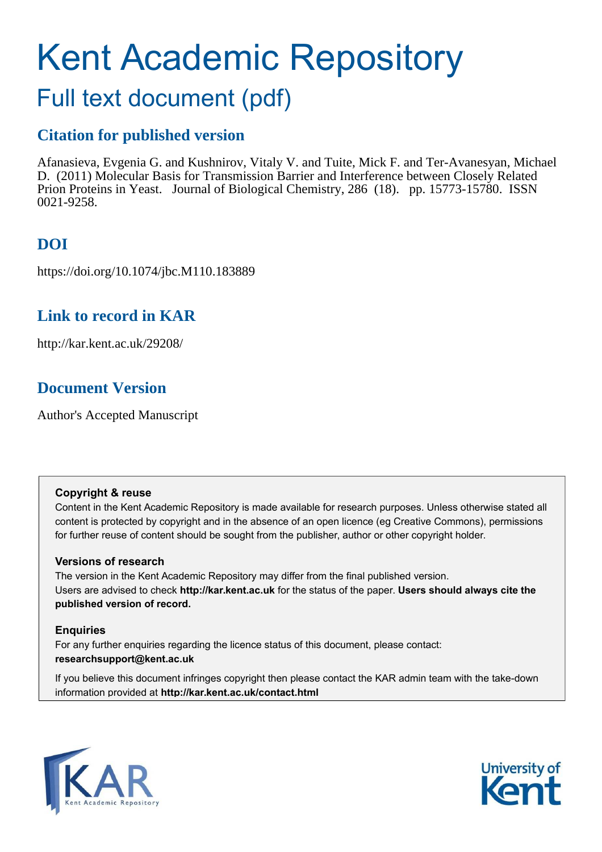# Kent Academic Repository

## Full text document (pdf)

## **Citation for published version**

Afanasieva, Evgenia G. and Kushnirov, Vitaly V. and Tuite, Mick F. and Ter-Avanesyan, Michael D. (2011) Molecular Basis for Transmission Barrier and Interference between Closely Related Prion Proteins in Yeast. Journal of Biological Chemistry, 286 (18). pp. 15773-15780. ISSN 0021-9258.

## **DOI**

https://doi.org/10.1074/jbc.M110.183889

### **Link to record in KAR**

http://kar.kent.ac.uk/29208/

## **Document Version**

Author's Accepted Manuscript

#### **Copyright & reuse**

Content in the Kent Academic Repository is made available for research purposes. Unless otherwise stated all content is protected by copyright and in the absence of an open licence (eg Creative Commons), permissions for further reuse of content should be sought from the publisher, author or other copyright holder.

#### **Versions of research**

The version in the Kent Academic Repository may differ from the final published version. Users are advised to check **http://kar.kent.ac.uk** for the status of the paper. **Users should always cite the published version of record.**

#### **Enquiries**

For any further enquiries regarding the licence status of this document, please contact: **researchsupport@kent.ac.uk**

If you believe this document infringes copyright then please contact the KAR admin team with the take-down information provided at **http://kar.kent.ac.uk/contact.html**



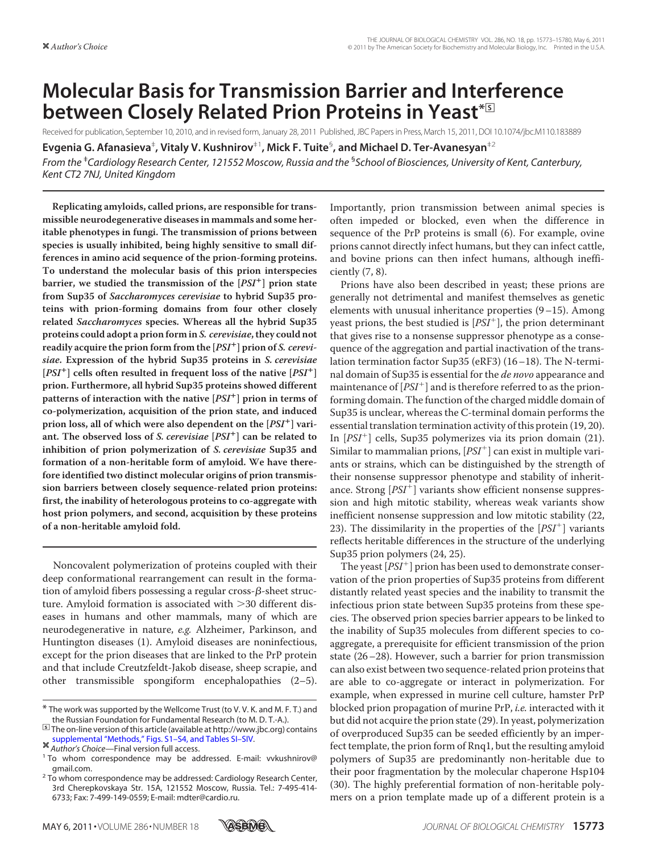## **Molecular Basis for Transmission Barrier and Interference between Closely Related Prion Proteins in Yeast<sup>\*</sup>**

Received for publication, September 10, 2010, and in revised form, January 28, 2011 Published, JBC Papers in Press, March 15, 2011, DOI 10.1074/jbc.M110.183889

**Evgenia G. Afanasieva**‡ **, Vitaly V. Kushnirov**‡1**, Mick F. Tuite**§ **, and Michael D. Ter-Avanesyan**‡2 *From the* ‡ *Cardiology Research Center, 121552 Moscow, Russia and the* § *School of Biosciences, University of Kent, Canterbury, Kent CT2 7NJ, United Kingdom*

**Replicating amyloids, called prions, are responsible for transmissible neurodegenerative diseases in mammals and some heritable phenotypes in fungi. The transmission of prions between species is usually inhibited, being highly sensitive to small differences in amino acid sequence of the prion-forming proteins. To understand the molecular basis of this prion interspecies barrier, we studied the transmission of the [PSI ] prion state from Sup35 of Saccharomyces cerevisiae to hybrid Sup35 proteins with prion-forming domains from four other closely related Saccharomyces species. Whereas all the hybrid Sup35 proteins could adopt a prion form in S. cerevisiae, they could not readily acquire the prion form from the [PSI ] prion of S. cerevisiae. Expression of the hybrid Sup35 proteins in S. cerevisiae**  $[PSI^+]$  cells often resulted in frequent loss of the native  $[PSI^+]$ **prion. Furthermore, all hybrid Sup35 proteins showed different patterns of interaction with the native [PSI ] prion in terms of co-polymerization, acquisition of the prion state, and induced prion loss, all of which were also dependent on the [PSI ] variant. The observed loss of S. cerevisiae [PSI ] can be related to inhibition of prion polymerization of S. cerevisiae Sup35 and formation of a non-heritable form of amyloid. We have therefore identified two distinct molecular origins of prion transmission barriers between closely sequence-related prion proteins: first, the inability of heterologous proteins to co-aggregate with host prion polymers, and second, acquisition by these proteins of a non-heritable amyloid fold.**

Noncovalent polymerization of proteins coupled with their deep conformational rearrangement can result in the formation of amyloid fibers possessing a regular cross- $\beta$ -sheet structure. Amyloid formation is associated with 30 different diseases in humans and other mammals, many of which are neurodegenerative in nature, e.g. Alzheimer, Parkinson, and Huntington diseases (1). Amyloid diseases are noninfectious, except for the prion diseases that are linked to the PrP protein and that include Creutzfeldt-Jakob disease, sheep scrapie, and other transmissible spongiform encephalopathies (2–5). Importantly, prion transmission between animal species is often impeded or blocked, even when the difference in sequence of the PrP proteins is small (6). For example, ovine prions cannot directly infect humans, but they can infect cattle, and bovine prions can then infect humans, although inefficiently (7, 8).

Prions have also been described in yeast; these prions are generally not detrimental and manifest themselves as genetic elements with unusual inheritance properties (9–15). Among yeast prions, the best studied is  $[PSI^+]$ , the prion determinant that gives rise to a nonsense suppressor phenotype as a consequence of the aggregation and partial inactivation of the translation termination factor Sup35 (eRF3) (16–18). The N-terminal domain of Sup35 is essential for the *de novo* appearance and maintenance of  $[PSI^+]$  and is therefore referred to as the prionforming domain. The function of the charged middle domain of Sup35 is unclear, whereas the C-terminal domain performs the essential translation termination activity of this protein (19, 20). In [PSI- ] cells, Sup35 polymerizes via its prion domain (21). Similar to mammalian prions,  $[PSI^+]$  can exist in multiple variants or strains, which can be distinguished by the strength of their nonsense suppressor phenotype and stability of inheritance. Strong  $[PSI^+]$  variants show efficient nonsense suppression and high mitotic stability, whereas weak variants show inefficient nonsense suppression and low mitotic stability (22, 23). The dissimilarity in the properties of the  $[PSI^+]$  variants reflects heritable differences in the structure of the underlying Sup35 prion polymers (24, 25).

The yeast  $[PSI^+]$  prion has been used to demonstrate conservation of the prion properties of Sup35 proteins from different distantly related yeast species and the inability to transmit the infectious prion state between Sup35 proteins from these species. The observed prion species barrier appears to be linked to the inability of Sup35 molecules from different species to coaggregate, a prerequisite for efficient transmission of the prion state (26–28). However, such a barrier for prion transmission can also exist between two sequence-related prion proteins that are able to co-aggregate or interact in polymerization. For example, when expressed in murine cell culture, hamster PrP blocked prion propagation of murine PrP, i.e. interacted with it but did not acquire the prion state (29). In yeast, polymerization of overproduced Sup35 can be seeded efficiently by an imperfect template, the prion form of Rnq1, but the resulting amyloid polymers of Sup35 are predominantly non-heritable due to their poor fragmentation by the molecular chaperone Hsp104 (30). The highly preferential formation of non-heritable polymers on a prion template made up of a different protein is a



<sup>\*</sup> The work was supported by the Wellcome Trust (to V. V. K. and M. F. T.) and the Russian Foundation for Fundamental Research (to M. D. T.-A.).

<sup>□</sup>**S** The on-line version of this article (available at http://www.jbc.org) contains [supplemental "Methods," Figs. S1–S4, and Tables SI–SIV.](http://www.jbc.org/cgi/content/full/M110.183889/DC1)

*Author's Choice*—Final version full access.

<sup>&</sup>lt;sup>1</sup> To whom correspondence may be addressed. E-mail: vvkushnirov@ gmail.com.

 $2$  To whom correspondence may be addressed: Cardiology Research Center, 3rd Cherepkovskaya Str. 15A, 121552 Moscow, Russia. Tel.: 7-495-414- 6733; Fax: 7-499-149-0559; E-mail: mdter@cardio.ru.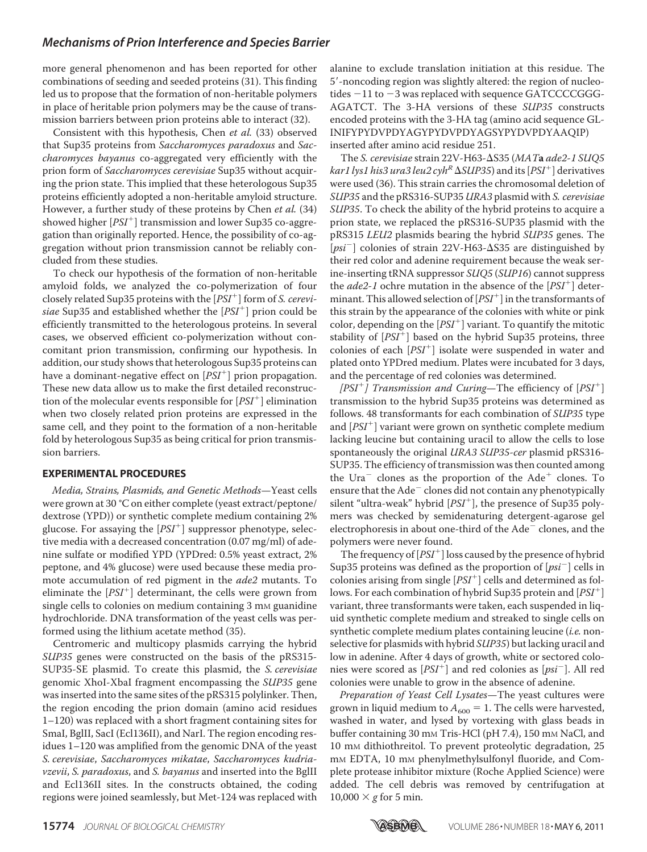more general phenomenon and has been reported for other combinations of seeding and seeded proteins (31). This finding led us to propose that the formation of non-heritable polymers in place of heritable prion polymers may be the cause of transmission barriers between prion proteins able to interact (32).

Consistent with this hypothesis, Chen et al. (33) observed that Sup35 proteins from Saccharomyces paradoxus and Saccharomyces bayanus co-aggregated very efficiently with the prion form of Saccharomyces cerevisiae Sup35 without acquiring the prion state. This implied that these heterologous Sup35 proteins efficiently adopted a non-heritable amyloid structure. However, a further study of these proteins by Chen et al. (34) showed higher [PSI<sup>+</sup>] transmission and lower Sup35 co-aggregation than originally reported. Hence, the possibility of co-aggregation without prion transmission cannot be reliably concluded from these studies.

To check our hypothesis of the formation of non-heritable amyloid folds, we analyzed the co-polymerization of four closely related Sup35 proteins with the [PSI- ] form of S. cerevisiae Sup35 and established whether the  $[PSI^+]$  prion could be efficiently transmitted to the heterologous proteins. In several cases, we observed efficient co-polymerization without concomitant prion transmission, confirming our hypothesis. In addition, our study shows that heterologous Sup35 proteins can have a dominant-negative effect on [PSI<sup>+</sup>] prion propagation. These new data allow us to make the first detailed reconstruction of the molecular events responsible for [PSI<sup>+</sup>] elimination when two closely related prion proteins are expressed in the same cell, and they point to the formation of a non-heritable fold by heterologous Sup35 as being critical for prion transmission barriers.

#### **EXPERIMENTAL PROCEDURES**

Media, Strains, Plasmids, and Genetic Methods—Yeast cells were grown at 30 °C on either complete (yeast extract/peptone/ dextrose (YPD)) or synthetic complete medium containing 2% glucose. For assaying the  $[PSI^+]$  suppressor phenotype, selective media with a decreased concentration (0.07 mg/ml) of adenine sulfate or modified YPD (YPDred: 0.5% yeast extract, 2% peptone, and 4% glucose) were used because these media promote accumulation of red pigment in the ade2 mutants. To eliminate the  $[PSI^+]$  determinant, the cells were grown from single cells to colonies on medium containing 3 mm guanidine hydrochloride. DNA transformation of the yeast cells was performed using the lithium acetate method (35).

Centromeric and multicopy plasmids carrying the hybrid SUP35 genes were constructed on the basis of the pRS315- SUP35-SE plasmid. To create this plasmid, the S. cerevisiae genomic XhoI-XbaI fragment encompassing the SUP35 gene was inserted into the same sites of the pRS315 polylinker. Then, the region encoding the prion domain (amino acid residues 1–120) was replaced with a short fragment containing sites for SmaI, BglII, SacI (Ecl136II), and NarI. The region encoding residues 1–120 was amplified from the genomic DNA of the yeast S. cerevisiae, Saccharomyces mikatae, Saccharomyces kudriavzevii, S. paradoxus, and S. bayanus and inserted into the BgIII and Ecl136II sites. In the constructs obtained, the coding regions were joined seamlessly, but Met-124 was replaced with alanine to exclude translation initiation at this residue. The 5-noncoding region was slightly altered: the region of nucleotides  $-11$  to  $-3$  was replaced with sequence GATCCCCGGG-AGATCT. The 3-HA versions of these SUP35 constructs encoded proteins with the 3-HA tag (amino acid sequence GL-INIFYPYDVPDYAGYPYDVPDYAGSYPYDVPDYAAQIP) inserted after amino acid residue 251.

The S. cerevisiae strain 22V-H63- $\Delta$ S35 (MATa ade2-1 SUQ5 kar1 lys1 his3 ura3 leu2 cyh<sup>R</sup>  $\Delta$ SUP35) and its [PSI<sup>+</sup>] derivatives were used (36). This strain carries the chromosomal deletion of SUP35 and the pRS316-SUP35 URA3 plasmid with S. cerevisiae SUP35. To check the ability of the hybrid proteins to acquire a prion state, we replaced the pRS316-SUP35 plasmid with the pRS315 LEU2 plasmids bearing the hybrid SUP35 genes. The [psi<sup>-</sup>] colonies of strain 22V-H63- $\Delta$ S35 are distinguished by their red color and adenine requirement because the weak serine-inserting tRNA suppressor SUQ5 (SUP16) cannot suppress the *ade2-1* ochre mutation in the absence of the  $[PSI^+]$  determinant. This allowed selection of  $[PSI^+]$  in the transformants of this strain by the appearance of the colonies with white or pink color, depending on the  $[PSI^+]$  variant. To quantify the mitotic stability of  $[PSI^+]$  based on the hybrid Sup35 proteins, three colonies of each  $[PSI<sup>+</sup>]$  isolate were suspended in water and plated onto YPDred medium. Plates were incubated for 3 days, and the percentage of red colonies was determined.

[PSI<sup>+</sup>] Transmission and Curing-The efficiency of  $[PSI^+]$ transmission to the hybrid Sup35 proteins was determined as follows. 48 transformants for each combination of SUP35 type and [PSI<sup>+</sup>] variant were grown on synthetic complete medium lacking leucine but containing uracil to allow the cells to lose spontaneously the original URA3 SUP35-cer plasmid pRS316-SUP35. The efficiency of transmission was then counted among the Ura<sup>-</sup> clones as the proportion of the Ade<sup>+</sup> clones. To ensure that the Ade<sup>-</sup> clones did not contain any phenotypically silent "ultra-weak" hybrid [PSI<sup>+</sup>], the presence of Sup35 polymers was checked by semidenaturing detergent-agarose gel electrophoresis in about one-third of the Ade<sup> $\sim$ </sup> clones, and the polymers were never found.

The frequency of  $[PSI^+]$  loss caused by the presence of hybrid Sup35 proteins was defined as the proportion of  $[psi^-]$  cells in colonies arising from single  $[PSI^+]$  cells and determined as follows. For each combination of hybrid Sup35 protein and [PSI<sup>+</sup>] variant, three transformants were taken, each suspended in liquid synthetic complete medium and streaked to single cells on synthetic complete medium plates containing leucine (i.e. nonselective for plasmids with hybrid SUP35) but lacking uracil and low in adenine. After 4 days of growth, white or sectored colonies were scored as  $[PSI^+]$  and red colonies as  $[psi^-]$ . All red colonies were unable to grow in the absence of adenine.

Preparation of Yeast Cell Lysates—The yeast cultures were grown in liquid medium to  $A_{600} = 1$ . The cells were harvested, washed in water, and lysed by vortexing with glass beads in buffer containing 30 mm Tris-HCl (pH 7.4), 150 mm NaCl, and 10 mM dithiothreitol. To prevent proteolytic degradation, 25 mM EDTA, 10 mM phenylmethylsulfonyl fluoride, and Complete protease inhibitor mixture (Roche Applied Science) were added. The cell debris was removed by centrifugation at  $10,000 \times g$  for 5 min.

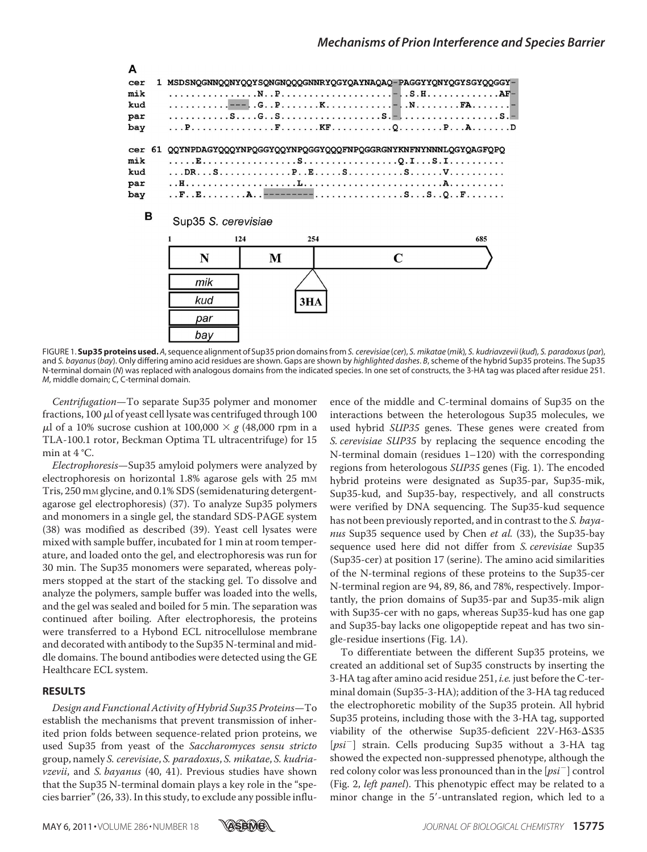

FIGURE 1. Sup35 proteins used. A, sequence alignment of Sup35 prion domains from S. cerevisiae (cer), S. mikatae (mik), S. kudriavzevii (kud), S. paradoxus (par), and *S. bayanus*(*bay*). Only differing amino acid residues are shown. Gaps are shown by *highlighted dashes*. *B*, scheme of the hybrid Sup35 proteins. The Sup35 N-terminal domain (*N*) was replaced with analogous domains from the indicated species. In one set of constructs, the 3-HA tag was placed after residue 251. *M*, middle domain; *C*, C-terminal domain.

Centrifugation—To separate Sup35 polymer and monomer fractions, 100  $\mu$ l of yeast cell lysate was centrifuged through 100  $\mu$ l of a 10% sucrose cushion at 100,000  $\times$  g (48,000 rpm in a TLA-100.1 rotor, Beckman Optima TL ultracentrifuge) for 15 min at 4 °C.

Electrophoresis—Sup35 amyloid polymers were analyzed by electrophoresis on horizontal 1.8% agarose gels with 25 mm Tris, 250 mM glycine, and 0.1% SDS (semidenaturing detergentagarose gel electrophoresis) (37). To analyze Sup35 polymers and monomers in a single gel, the standard SDS-PAGE system (38) was modified as described (39). Yeast cell lysates were mixed with sample buffer, incubated for 1 min at room temperature, and loaded onto the gel, and electrophoresis was run for 30 min. The Sup35 monomers were separated, whereas polymers stopped at the start of the stacking gel. To dissolve and analyze the polymers, sample buffer was loaded into the wells, and the gel was sealed and boiled for 5 min. The separation was continued after boiling. After electrophoresis, the proteins were transferred to a Hybond ECL nitrocellulose membrane and decorated with antibody to the Sup35 N-terminal and middle domains. The bound antibodies were detected using the GE Healthcare ECL system.

#### **RESULTS**

Design and Functional Activity of Hybrid Sup35 Proteins—To establish the mechanisms that prevent transmission of inherited prion folds between sequence-related prion proteins, we used Sup35 from yeast of the Saccharomyces sensu stricto group, namely S. cerevisiae, S. paradoxus, S. mikatae, S. kudriavzevii, and S. bayanus (40, 41). Previous studies have shown that the Sup35 N-terminal domain plays a key role in the "species barrier" (26, 33). In this study, to exclude any possible influence of the middle and C-terminal domains of Sup35 on the interactions between the heterologous Sup35 molecules, we used hybrid SUP35 genes. These genes were created from S. cerevisiae SUP35 by replacing the sequence encoding the N-terminal domain (residues 1–120) with the corresponding regions from heterologous SUP35 genes (Fig. 1). The encoded hybrid proteins were designated as Sup35-par, Sup35-mik, Sup35-kud, and Sup35-bay, respectively, and all constructs were verified by DNA sequencing. The Sup35-kud sequence has not been previously reported, and in contrast to the S. bayanus Sup35 sequence used by Chen et al. (33), the Sup35-bay sequence used here did not differ from S. cerevisiae Sup35 (Sup35-cer) at position 17 (serine). The amino acid similarities of the N-terminal regions of these proteins to the Sup35-cer N-terminal region are 94, 89, 86, and 78%, respectively. Importantly, the prion domains of Sup35-par and Sup35-mik align with Sup35-cer with no gaps, whereas Sup35-kud has one gap and Sup35-bay lacks one oligopeptide repeat and has two single-residue insertions (Fig. 1A).

To differentiate between the different Sup35 proteins, we created an additional set of Sup35 constructs by inserting the 3-HA tag after amino acid residue 251, i.e. just before the C-terminal domain (Sup35-3-HA); addition of the 3-HA tag reduced the electrophoretic mobility of the Sup35 protein. All hybrid Sup35 proteins, including those with the 3-HA tag, supported viability of the otherwise Sup35-deficient 22V-H63- $\Delta$ S35 [psi<sup>-</sup>] strain. Cells producing Sup35 without a 3-HA tag showed the expected non-suppressed phenotype, although the red colony color was less pronounced than in the  $[psi^-]$  control (Fig. 2, *left panel*). This phenotypic effect may be related to a minor change in the 5'-untranslated region, which led to a

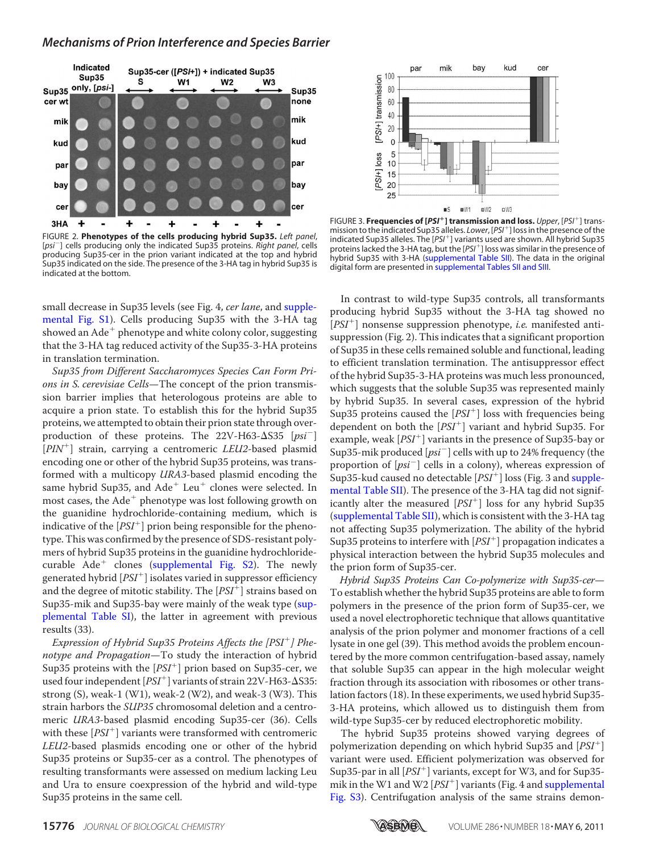

FIGURE 2. **Phenotypes of the cells producing hybrid Sup35.** *Left panel*, [*psi* ] cells producing only the indicated Sup35 proteins. *Right panel*, cells producing Sup35-cer in the prion variant indicated at the top and hybrid Sup35 indicated on the side. The presence of the 3-HA tag in hybrid Sup35 is indicated at the bottom.

small decrease in Sup35 levels (see Fig. 4, cer lane, and [supple](http://www.jbc.org/cgi/content/full/M110.183889/DC1)[mental Fig. S1\)](http://www.jbc.org/cgi/content/full/M110.183889/DC1). Cells producing Sup35 with the 3-HA tag showed an Ade<sup>+</sup> phenotype and white colony color, suggesting that the 3-HA tag reduced activity of the Sup35-3-HA proteins in translation termination.

Sup35 from Different Saccharomyces Species Can Form Prions in S. cerevisiae Cells—The concept of the prion transmission barrier implies that heterologous proteins are able to acquire a prion state. To establish this for the hybrid Sup35 proteins, we attempted to obtain their prion state through overproduction of these proteins. The  $22V$ -H63- $\Delta$ S35 [psi<sup>-</sup>] [PIN<sup>+</sup>] strain, carrying a centromeric LEU2-based plasmid encoding one or other of the hybrid Sup35 proteins, was transformed with a multicopy URA3-based plasmid encoding the same hybrid Sup35, and  $Ade^+$  Leu<sup>+</sup> clones were selected. In most cases, the Ade<sup>+</sup> phenotype was lost following growth on the guanidine hydrochloride-containing medium, which is indicative of the  $[PSI^+]$  prion being responsible for the phenotype. This was confirmed by the presence of SDS-resistant polymers of hybrid Sup35 proteins in the guanidine hydrochloride-curable Ade<sup>+</sup> clones [\(supplemental Fig. S2\)](http://www.jbc.org/cgi/content/full/M110.183889/DC1). The newly generated hybrid  $[PSI^+]$  isolates varied in suppressor efficiency and the degree of mitotic stability. The [PSI<sup>+</sup>] strains based on Sup35-mik and Sup35-bay were mainly of the weak type [\(sup](http://www.jbc.org/cgi/content/full/M110.183889/DC1)[plemental Table SI\)](http://www.jbc.org/cgi/content/full/M110.183889/DC1), the latter in agreement with previous results (33).

Expression of Hybrid Sup35 Proteins Affects the [PSI<sup>+</sup>] Phenotype and Propagation-To study the interaction of hybrid  $\frac{S_{\text{up}}}{S_{\text{up}}}$  proteins with the  $[PSI^+]$  prion based on Sup35-cer, we used four independent [PSI<sup>+</sup>] variants of strain 22V-H63-AS35: strong  $(S)$ , weak-1  $(W1)$ , weak-2  $(W2)$ , and weak-3  $(W3)$ . This strain harbors the SUP35 chromosomal deletion and a centromeric URA3-based plasmid encoding Sup35-cer (36). Cells with these  $[PSI^+]$  variants were transformed with centromeric LEU2-based plasmids encoding one or other of the hybrid Sup35 proteins or Sup35-cer as a control. The phenotypes of resulting transformants were assessed on medium lacking Leu and Ura to ensure coexpression of the hybrid and wild-type Sup35 proteins in the same cell.



FIGURE 3. **Frequencies of [PSI<sup>+</sup>] transmission and loss.** Upper, [PSI<sup>+</sup>] transmission to the indicated Sup35 alleles. *Lower*, [*PSI*- ] loss in the presence of the indicated Sup35 alleles. The [*PSI*- ] variants used are shown. All hybrid Sup35 proteins lacked the 3-HA tag, but the [*PSI*- ] loss was similar in the presence of hybrid Sup35 with 3-HA [\(supplemental Table SII\)](http://www.jbc.org/cgi/content/full/M110.183889/DC1). The data in the original digital form are presented in [supplemental Tables SII and SIII.](http://www.jbc.org/cgi/content/full/M110.183889/DC1)

In contrast to wild-type Sup35 controls, all transformants producing hybrid Sup35 without the 3-HA tag showed no  $[PSI<sup>+</sup>]$  nonsense suppression phenotype, *i.e.* manifested antisuppression (Fig. 2). This indicates that a significant proportion of Sup35 in these cells remained soluble and functional, leading to efficient translation termination. The antisuppressor effect of the hybrid Sup35-3-HA proteins was much less pronounced, which suggests that the soluble Sup35 was represented mainly by hybrid Sup35. In several cases, expression of the hybrid Sup35 proteins caused the  $[PSI^+]$  loss with frequencies being dependent on both the [PSI- ] variant and hybrid Sup35. For example, weak [PSI<sup>+</sup>] variants in the presence of Sup35-bay or Sup35-mik produced  $[psi^-]$  cells with up to 24% frequency (the proportion of  $[psi^-]$  cells in a colony), whereas expression of Sup35-kud caused no detectable [PSI<sup>+</sup>] loss (Fig. 3 and [supple](http://www.jbc.org/cgi/content/full/M110.183889/DC1)[mental Table SII\)](http://www.jbc.org/cgi/content/full/M110.183889/DC1). The presence of the 3-HA tag did not significantly alter the measured [PSI<sup>+</sup>] loss for any hybrid Sup35 [\(supplemental Table SII\)](http://www.jbc.org/cgi/content/full/M110.183889/DC1), which is consistent with the 3-HA tag not affecting Sup35 polymerization. The ability of the hybrid Sup35 proteins to interfere with  $[PSI^+]$  propagation indicates a physical interaction between the hybrid Sup35 molecules and the prion form of Sup35-cer.

Hybrid Sup35 Proteins Can Co-polymerize with Sup35-cer— To establish whether the hybrid Sup35 proteins are able to form polymers in the presence of the prion form of Sup35-cer, we used a novel electrophoretic technique that allows quantitative analysis of the prion polymer and monomer fractions of a cell lysate in one gel (39). This method avoids the problem encountered by the more common centrifugation-based assay, namely that soluble Sup35 can appear in the high molecular weight fraction through its association with ribosomes or other translation factors (18). In these experiments, we used hybrid Sup35- 3-HA proteins, which allowed us to distinguish them from wild-type Sup35-cer by reduced electrophoretic mobility.

The hybrid Sup35 proteins showed varying degrees of polymerization depending on which hybrid Sup35 and [PSI<sup>+</sup>] variant were used. Efficient polymerization was observed for Sup35-par in all [PSI<sup>+</sup>] variants, except for W3, and for Sup35mik in the W1 and W2 [PSI<sup>+</sup>] variants (Fig. 4 and [supplemental](http://www.jbc.org/cgi/content/full/M110.183889/DC1) [Fig. S3\)](http://www.jbc.org/cgi/content/full/M110.183889/DC1). Centrifugation analysis of the same strains demon-

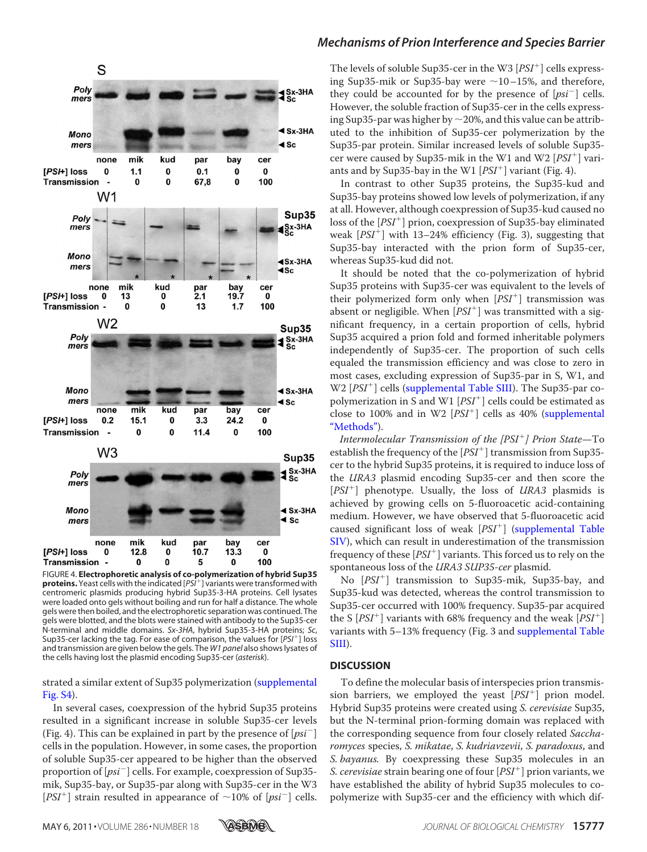

FIGURE 4. **Electrophoretic analysis of co-polymerization of hybrid Sup35 proteins.** Yeast cells with the indicated [*PSI*- ] variants were transformed with centromeric plasmids producing hybrid Sup35-3-HA proteins. Cell lysates were loaded onto gels without boiling and run for half a distance. The whole gels were then boiled, and the electrophoretic separation was continued. The gels were blotted, and the blots were stained with antibody to the Sup35-cer N-terminal and middle domains. *Sx-3HA*, hybrid Sup35-3-HA proteins; *Sc*, Sup35-cer lacking the tag. For ease of comparison, the values for [*PSI*- ] loss and transmission are given below the gels. The *W1 panel* also shows lysates of the cells having lost the plasmid encoding Sup35-cer (*asterisk*).

#### strated a similar extent of Sup35 polymerization [\(supplemental](http://www.jbc.org/cgi/content/full/M110.183889/DC1) [Fig. S4\)](http://www.jbc.org/cgi/content/full/M110.183889/DC1).

In several cases, coexpression of the hybrid Sup35 proteins resulted in a significant increase in soluble Sup35-cer levels (Fig. 4). This can be explained in part by the presence of  $[psi^-]$ cells in the population. However, in some cases, the proportion of soluble Sup35-cer appeared to be higher than the observed proportion of  $[psi^-]$  cells. For example, coexpression of Sup35mik, Sup35-bay, or Sup35-par along with Sup35-cer in the W3 [ $PSI^+$ ] strain resulted in appearance of  $\sim$ 10% of [ $psi^-$ ] cells.

#### *Mechanisms of Prion Interference and Species Barrier*

The levels of soluble Sup35-cer in the W3 [PSI<sup>+</sup>] cells expressing Sup35-mik or Sup35-bay were  $\sim$ 10–15%, and therefore, they could be accounted for by the presence of  $[psi^-]$  cells. However, the soluble fraction of Sup35-cer in the cells expressing Sup35-par was higher by  $\sim$  20%, and this value can be attributed to the inhibition of Sup35-cer polymerization by the Sup35-par protein. Similar increased levels of soluble Sup35 cer were caused by Sup35-mik in the W1 and W2 [PSI<sup>+</sup>] variants and by Sup35-bay in the W1  $[PSI^+]$  variant (Fig. 4).

In contrast to other Sup35 proteins, the Sup35-kud and Sup35-bay proteins showed low levels of polymerization, if any at all. However, although coexpression of Sup35-kud caused no loss of the [PSI<sup>+</sup>] prion, coexpression of Sup35-bay eliminated weak  $[PSI^+]$  with 13–24% efficiency (Fig. 3), suggesting that Sup35-bay interacted with the prion form of Sup35-cer, whereas Sup35-kud did not.

It should be noted that the co-polymerization of hybrid Sup35 proteins with Sup35-cer was equivalent to the levels of their polymerized form only when  $[PSI^+]$  transmission was absent or negligible. When  $[PSI^+]$  was transmitted with a significant frequency, in a certain proportion of cells, hybrid Sup35 acquired a prion fold and formed inheritable polymers independently of Sup35-cer. The proportion of such cells equaled the transmission efficiency and was close to zero in most cases, excluding expression of Sup35-par in S, W1, and W2 [PSI<sup>+</sup>] cells [\(supplemental Table SIII\)](http://www.jbc.org/cgi/content/full/M110.183889/DC1). The Sup35-par copolymerization in S and W1  $[PSI^+]$  cells could be estimated as close to 100% and in W2  $[PSI^+]$  cells as 40% [\(supplemental](http://www.jbc.org/cgi/content/full/M110.183889/DC1) ["Methods"\)](http://www.jbc.org/cgi/content/full/M110.183889/DC1).

Intermolecular Transmission of the [PSI<sup>+</sup>] Prion State–To establish the frequency of the  $[PSI^+]$  transmission from Sup35cer to the hybrid Sup35 proteins, it is required to induce loss of the URA3 plasmid encoding Sup35-cer and then score the [PSI<sup>+</sup>] phenotype. Usually, the loss of URA3 plasmids is achieved by growing cells on 5-fluoroacetic acid-containing medium. However, we have observed that 5-fluoroacetic acid caused significant loss of weak [PSI<sup>+</sup>] [\(supplemental Table](http://www.jbc.org/cgi/content/full/M110.183889/DC1) [SIV\)](http://www.jbc.org/cgi/content/full/M110.183889/DC1), which can result in underestimation of the transmission frequency of these  $[PSI<sup>+</sup>]$  variants. This forced us to rely on the spontaneous loss of the URA3 SUP35-cer plasmid.

No [PSI- ] transmission to Sup35-mik, Sup35-bay, and Sup35-kud was detected, whereas the control transmission to Sup35-cer occurred with 100% frequency. Sup35-par acquired the S  $[PSI^+]$  variants with 68% frequency and the weak  $[PSI^+]$ variants with 5–13% frequency (Fig. 3 and [supplemental Table](http://www.jbc.org/cgi/content/full/M110.183889/DC1) [SIII\)](http://www.jbc.org/cgi/content/full/M110.183889/DC1).

#### **DISCUSSION**

To define the molecular basis of interspecies prion transmission barriers, we employed the yeast  $[PSI^+]$  prion model. Hybrid Sup35 proteins were created using S. cerevisiae Sup35, but the N-terminal prion-forming domain was replaced with the corresponding sequence from four closely related Saccharomyces species, S. mikatae, S. kudriavzevii, S. paradoxus, and S. bayanus. By coexpressing these Sup35 molecules in an S. cerevisiae strain bearing one of four  $[PSI^+]$  prion variants, we have established the ability of hybrid Sup35 molecules to copolymerize with Sup35-cer and the efficiency with which dif-

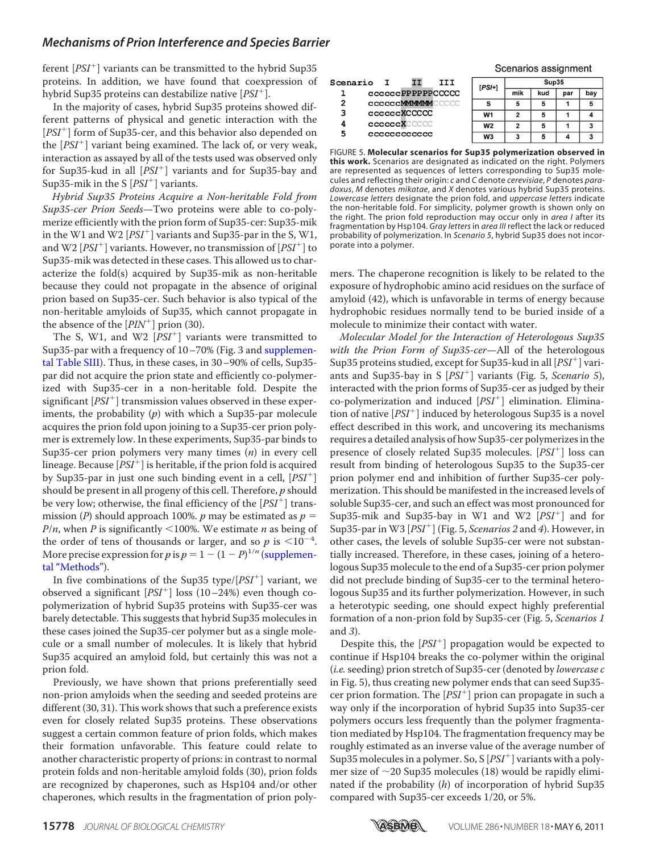ferent  $[PSI<sup>+</sup>]$  variants can be transmitted to the hybrid Sup35 proteins. In addition, we have found that coexpression of hybrid Sup35 proteins can destabilize native [PSI<sup>+</sup>].

In the majority of cases, hybrid Sup35 proteins showed different patterns of physical and genetic interaction with the [PSI<sup>+</sup>] form of Sup35-cer, and this behavior also depended on the [PSI<sup>+</sup>] variant being examined. The lack of, or very weak, interaction as assayed by all of the tests used was observed only for Sup35-kud in all [PSI<sup>+</sup>] variants and for Sup35-bay and Sup35-mik in the S  $[PSI^+]$  variants.

Hybrid Sup35 Proteins Acquire a Non-heritable Fold from Sup35-cer Prion Seeds—Two proteins were able to co-polymerize efficiently with the prion form of Sup35-cer: Sup35-mik in the W1 and W2  $[PSI^+]$  variants and Sup35-par in the S, W1, and W2  $[PSI^+]$  variants. However, no transmission of  $[PSI^+]$  to Sup35-mik was detected in these cases. This allowed us to characterize the fold(s) acquired by Sup35-mik as non-heritable because they could not propagate in the absence of original prion based on Sup35-cer. Such behavior is also typical of the non-heritable amyloids of Sup35, which cannot propagate in the absence of the  $[PIN^+]$  prion (30).

The S, W1, and W2  $[PSI^+]$  variants were transmitted to Sup35-par with a frequency of 10-70% (Fig. 3 and [supplemen](http://www.jbc.org/cgi/content/full/M110.183889/DC1)[tal Table SIII\)](http://www.jbc.org/cgi/content/full/M110.183889/DC1). Thus, in these cases, in 30–90% of cells, Sup35 par did not acquire the prion state and efficiently co-polymerized with Sup35-cer in a non-heritable fold. Despite the significant [PSI<sup>+</sup>] transmission values observed in these experiments, the probability  $(p)$  with which a Sup35-par molecule acquires the prion fold upon joining to a Sup35-cer prion polymer is extremely low. In these experiments, Sup35-par binds to Sup35-cer prion polymers very many times  $(n)$  in every cell lineage. Because  $[PSI^+]$  is heritable, if the prion fold is acquired by Sup35-par in just one such binding event in a cell,  $[PSI^+]$ should be present in all progeny of this cell. Therefore,  $p$  should be very low; otherwise, the final efficiency of the  $[PSI^+]$  transmission (P) should approach 100%. p may be estimated as  $p =$  $P/n$ , when P is significantly <100%. We estimate  $n$  as being of the order of tens of thousands or larger, and so p is  $\leq 10^{-4}$ . More precise expression for *p* is  $p = 1 - (1 - P)^{1/n}$  [\(supplemen](http://www.jbc.org/cgi/content/full/M110.183889/DC1)[tal "Methods"\)](http://www.jbc.org/cgi/content/full/M110.183889/DC1).

In five combinations of the Sup35 type/ $[PSI^+]$  variant, we observed a significant  $[PSI^+]$  loss  $(10-24%)$  even though copolymerization of hybrid Sup35 proteins with Sup35-cer was barely detectable. This suggests that hybrid Sup35 molecules in these cases joined the Sup35-cer polymer but as a single molecule or a small number of molecules. It is likely that hybrid Sup35 acquired an amyloid fold, but certainly this was not a prion fold.

Previously, we have shown that prions preferentially seed non-prion amyloids when the seeding and seeded proteins are different (30, 31). This work shows that such a preference exists even for closely related Sup35 proteins. These observations suggest a certain common feature of prion folds, which makes their formation unfavorable. This feature could relate to another characteristic property of prions: in contrast to normal protein folds and non-heritable amyloid folds (30), prion folds are recognized by chaperones, such as Hsp104 and/or other chaperones, which results in the fragmentation of prion poly-

|                       |                                     |  |  | Outtration applyment |       |     |     |     |
|-----------------------|-------------------------------------|--|--|----------------------|-------|-----|-----|-----|
| Scenario<br>III<br>тт |                                     |  |  | $[PSI+]$             | Sup35 |     |     |     |
|                       | ccccccPPPPPPCCCCC                   |  |  |                      | mik   | kud | par | bay |
| 2                     | <b>CCCCCCMMMMMCCCCC</b>             |  |  |                      | 5     | 5   |     |     |
| З                     | <b>CCCCCCXCCCCC</b>                 |  |  | W <sub>1</sub>       |       | 5   |     |     |
|                       | <b>ccccccXCCCCC</b><br>cccccccccccc |  |  | W <sub>2</sub>       | 2     | 5   |     |     |
| 5                     |                                     |  |  | W <sub>3</sub>       | 3     |     |     |     |

Sconarios assignment

FIGURE 5. **Molecular scenarios for Sup35 polymerization observed in this work.** Scenarios are designated as indicated on the right. Polymers are represented as sequences of letters corresponding to Sup35 molecules and reflecting their origin: *c* and *C* denote *cerevisiae*, *P* denotes *paradoxus*, *M* denotes *mikatae*, and *X* denotes various hybrid Sup35 proteins. *Lowercase letters* designate the prion fold, and *uppercase letters* indicate the non-heritable fold. For simplicity, polymer growth is shown only on the right. The prion fold reproduction may occur only in *area I* after its fragmentation by Hsp104. *Gray letters* in *area III* reflect the lack or reduced probability of polymerization. In *Scenario 5*, hybrid Sup35 does not incorporate into a polymer.

mers. The chaperone recognition is likely to be related to the exposure of hydrophobic amino acid residues on the surface of amyloid (42), which is unfavorable in terms of energy because hydrophobic residues normally tend to be buried inside of a molecule to minimize their contact with water.

Molecular Model for the Interaction of Heterologous Sup35 with the Prion Form of Sup35-cer-All of the heterologous Sup35 proteins studied, except for Sup35-kud in all [PSI<sup>+</sup>] variants and Sup35-bay in S [PSI<sup>+</sup>] variants (Fig. 5, Scenario 5), interacted with the prion forms of Sup35-cer as judged by their co-polymerization and induced  $[PSI^+]$  elimination. Elimination of native [PSI- ] induced by heterologous Sup35 is a novel effect described in this work, and uncovering its mechanisms requires a detailed analysis of how Sup35-cer polymerizes in the presence of closely related Sup35 molecules. [PSI<sup>+</sup>] loss can result from binding of heterologous Sup35 to the Sup35-cer prion polymer end and inhibition of further Sup35-cer polymerization. This should be manifested in the increased levels of soluble Sup35-cer, and such an effect was most pronounced for Sup35-mik and Sup35-bay in W1 and W2  $[PSI<sup>+</sup>]$  and for Sup35-par in W3  $[PSI^+]$  (Fig. 5, Scenarios 2 and 4). However, in other cases, the levels of soluble Sup35-cer were not substantially increased. Therefore, in these cases, joining of a heterologous Sup35 molecule to the end of a Sup35-cer prion polymer did not preclude binding of Sup35-cer to the terminal heterologous Sup35 and its further polymerization. However, in such a heterotypic seeding, one should expect highly preferential formation of a non-prion fold by Sup35-cer (Fig. 5, Scenarios 1 and 3).

Despite this, the  $[PSI^+]$  propagation would be expected to continue if Hsp104 breaks the co-polymer within the original (*i.e.* seeding) prion stretch of Sup35-cer (denoted by *lowercase c* in Fig. 5), thus creating new polymer ends that can seed Sup35 cer prion formation. The  $[PSI^+]$  prion can propagate in such a way only if the incorporation of hybrid Sup35 into Sup35-cer polymers occurs less frequently than the polymer fragmentation mediated by Hsp104. The fragmentation frequency may be roughly estimated as an inverse value of the average number of Sup35 molecules in a polymer. So, S  $[PSI^+]$  variants with a polymer size of  $\sim$ 20 Sup35 molecules (18) would be rapidly eliminated if the probability  $(h)$  of incorporation of hybrid Sup35 compared with Sup35-cer exceeds 1/20, or 5%.

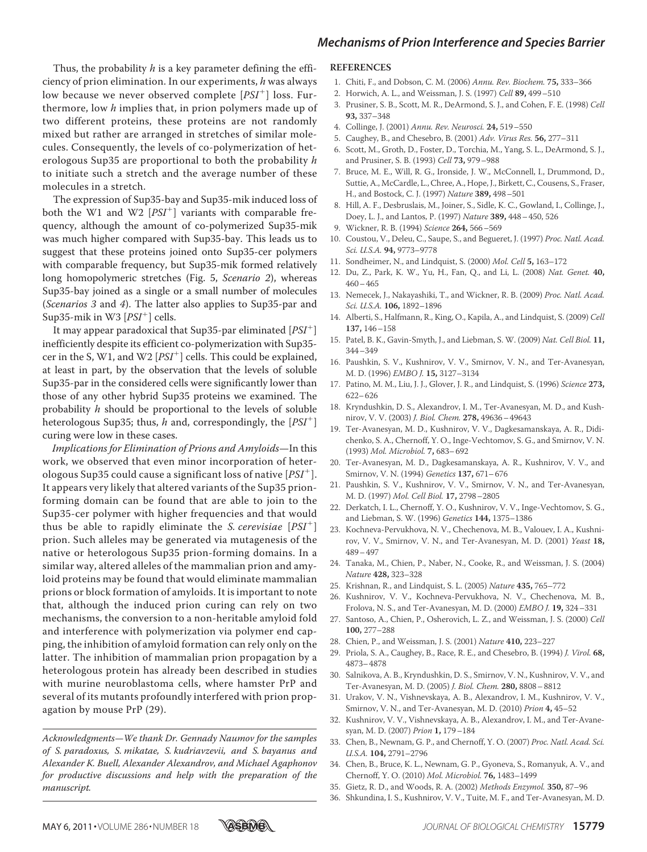Thus, the probability  $h$  is a key parameter defining the efficiency of prion elimination. In our experiments, h was always low because we never observed complete  $[PSI^+]$  loss. Furthermore, low h implies that, in prion polymers made up of two different proteins, these proteins are not randomly mixed but rather are arranged in stretches of similar molecules. Consequently, the levels of co-polymerization of heterologous Sup35 are proportional to both the probability h to initiate such a stretch and the average number of these molecules in a stretch.

The expression of Sup35-bay and Sup35-mik induced loss of both the W1 and W2  $[PSI^+]$  variants with comparable frequency, although the amount of co-polymerized Sup35-mik was much higher compared with Sup35-bay. This leads us to suggest that these proteins joined onto Sup35-cer polymers with comparable frequency, but Sup35-mik formed relatively long homopolymeric stretches (Fig. 5, Scenario 2), whereas Sup35-bay joined as a single or a small number of molecules (Scenarios 3 and 4). The latter also applies to Sup35-par and Sup35-mik in W3  $\overline{[PSI^+]}$  cells.

It may appear paradoxical that Sup35-par eliminated [PSI<sup>+</sup>] inefficiently despite its efficient co-polymerization with Sup35 cer in the S, W1, and W2 [PSI<sup>+</sup>] cells. This could be explained, at least in part, by the observation that the levels of soluble Sup35-par in the considered cells were significantly lower than those of any other hybrid Sup35 proteins we examined. The probability  $h$  should be proportional to the levels of soluble heterologous Sup35; thus, h and, correspondingly, the  $[PSI^+]$ curing were low in these cases.

Implications for Elimination of Prions and Amyloids—In this work, we observed that even minor incorporation of heterologous Sup35 could cause a significant loss of native  $[PSI^+]$ . It appears very likely that altered variants of the Sup35 prionforming domain can be found that are able to join to the Sup35-cer polymer with higher frequencies and that would thus be able to rapidly eliminate the *S. cerevisiae*  $[PSI^+]$ prion. Such alleles may be generated via mutagenesis of the native or heterologous Sup35 prion-forming domains. In a similar way, altered alleles of the mammalian prion and amyloid proteins may be found that would eliminate mammalian prions or block formation of amyloids. It is important to note that, although the induced prion curing can rely on two mechanisms, the conversion to a non-heritable amyloid fold and interference with polymerization via polymer end capping, the inhibition of amyloid formation can rely only on the latter. The inhibition of mammalian prion propagation by a heterologous protein has already been described in studies with murine neuroblastoma cells, where hamster PrP and several of its mutants profoundly interfered with prion propagation by mouse PrP (29).

Acknowledgments—We thank Dr. Gennady Naumov for the samples of S. paradoxus, S. mikatae, S. kudriavzevii, and S. bayanus and Alexander K. Buell, Alexander Alexandrov, and Michael Agaphonov for productive discussions and help with the preparation of the manuscript.

#### **REFERENCES**

- 1. Chiti, F., and Dobson, C. M. (2006) Annu. Rev. Biochem. **75,** 333–366
- 2. Horwich, A. L., and Weissman, J. S. (1997) Cell **89,** 499–510
- 3. Prusiner, S. B., Scott, M. R., DeArmond, S. J., and Cohen, F. E. (1998) Cell **93,** 337–348
- 4. Collinge, J. (2001) Annu. Rev. Neurosci. **24,** 519–550
- 5. Caughey, B., and Chesebro, B. (2001) Adv. Virus Res. **56,** 277–311
- 6. Scott, M., Groth, D., Foster, D., Torchia, M., Yang, S. L., DeArmond, S. J., and Prusiner, S. B. (1993) Cell **73,** 979–988
- 7. Bruce, M. E., Will, R. G., Ironside, J. W., McConnell, I., Drummond, D., Suttie, A., McCardle, L., Chree, A., Hope, J., Birkett, C., Cousens, S., Fraser, H., and Bostock, C. J. (1997) Nature **389,** 498–501
- 8. Hill, A. F., Desbruslais, M., Joiner, S., Sidle, K. C., Gowland, I., Collinge, J., Doey, L. J., and Lantos, P. (1997) Nature **389,** 448–450, 526
- 9. Wickner, R. B. (1994) Science **264,** 566–569
- 10. Coustou, V., Deleu, C., Saupe, S., and Begueret, J. (1997) Proc. Natl. Acad. Sci. U.S.A. **94,** 9773–9778
- 11. Sondheimer, N., and Lindquist, S. (2000) Mol. Cell **5,** 163–172
- 12. Du, Z., Park, K. W., Yu, H., Fan, Q., and Li, L. (2008) Nat. Genet. **40,** 460–465
- 13. Nemecek, J., Nakayashiki, T., and Wickner, R. B. (2009) Proc. Natl. Acad. Sci. U.S.A. **106,** 1892–1896
- 14. Alberti, S., Halfmann, R., King, O., Kapila, A., and Lindquist, S. (2009) Cell **137,** 146–158
- 15. Patel, B. K., Gavin-Smyth, J., and Liebman, S. W. (2009) Nat. Cell Biol. **11,** 344–349
- 16. Paushkin, S. V., Kushnirov, V. V., Smirnov, V. N., and Ter-Avanesyan, M. D. (1996) EMBO J. **15,** 3127–3134
- 17. Patino, M. M., Liu, J. J., Glover, J. R., and Lindquist, S. (1996) Science **273,** 622–626
- 18. Kryndushkin, D. S., Alexandrov, I. M., Ter-Avanesyan, M. D., and Kushnirov, V. V. (2003) J. Biol. Chem. **278,** 49636–49643
- 19. Ter-Avanesyan, M. D., Kushnirov, V. V., Dagkesamanskaya, A. R., Didichenko, S. A., Chernoff, Y. O., Inge-Vechtomov, S. G., and Smirnov, V. N. (1993) Mol. Microbiol. **7,** 683–692
- 20. Ter-Avanesyan, M. D., Dagkesamanskaya, A. R., Kushnirov, V. V., and Smirnov, V. N. (1994) Genetics **137,** 671–676
- 21. Paushkin, S. V., Kushnirov, V. V., Smirnov, V. N., and Ter-Avanesyan, M. D. (1997) Mol. Cell Biol. **17,** 2798–2805
- 22. Derkatch, I. L., Chernoff, Y. O., Kushnirov, V. V., Inge-Vechtomov, S. G., and Liebman, S. W. (1996) Genetics **144,** 1375–1386
- 23. Kochneva-Pervukhova, N. V., Chechenova, M. B., Valouev, I. A., Kushnirov, V. V., Smirnov, V. N., and Ter-Avanesyan, M. D. (2001) Yeast **18,** 489–497
- 24. Tanaka, M., Chien, P., Naber, N., Cooke, R., and Weissman, J. S. (2004) Nature **428,** 323–328
- 25. Krishnan, R., and Lindquist, S. L. (2005) Nature **435,** 765–772
- 26. Kushnirov, V. V., Kochneva-Pervukhova, N. V., Chechenova, M. B., Frolova, N. S., and Ter-Avanesyan, M. D. (2000) EMBO J. **19,** 324–331
- 27. Santoso, A., Chien, P., Osherovich, L. Z., and Weissman, J. S. (2000) Cell **100,** 277–288
- 28. Chien, P., and Weissman, J. S. (2001) Nature **410,** 223–227
- 29. Priola, S. A., Caughey, B., Race, R. E., and Chesebro, B. (1994) J. Virol. **68,** 4873–4878
- 30. Salnikova, A. B., Kryndushkin, D. S., Smirnov, V. N., Kushnirov, V. V., and Ter-Avanesyan, M. D. (2005) J. Biol. Chem. **280,** 8808–8812
- 31. Urakov, V. N., Vishnevskaya, A. B., Alexandrov, I. M., Kushnirov, V. V., Smirnov, V. N., and Ter-Avanesyan, M. D. (2010) Prion **4,** 45–52
- 32. Kushnirov, V. V., Vishnevskaya, A. B., Alexandrov, I. M., and Ter-Avanesyan, M. D. (2007) Prion **1,** 179–184
- 33. Chen, B., Newnam, G. P., and Chernoff, Y. O. (2007) Proc. Natl. Acad. Sci. U.S.A. **104,** 2791–2796
- 34. Chen, B., Bruce, K. L., Newnam, G. P., Gyoneva, S., Romanyuk, A. V., and Chernoff, Y. O. (2010) Mol. Microbiol. **76,** 1483–1499
- 35. Gietz, R. D., and Woods, R. A. (2002) Methods Enzymol. **350,** 87–96
- 36. Shkundina, I. S., Kushnirov, V. V., Tuite, M. F., and Ter-Avanesyan, M. D.